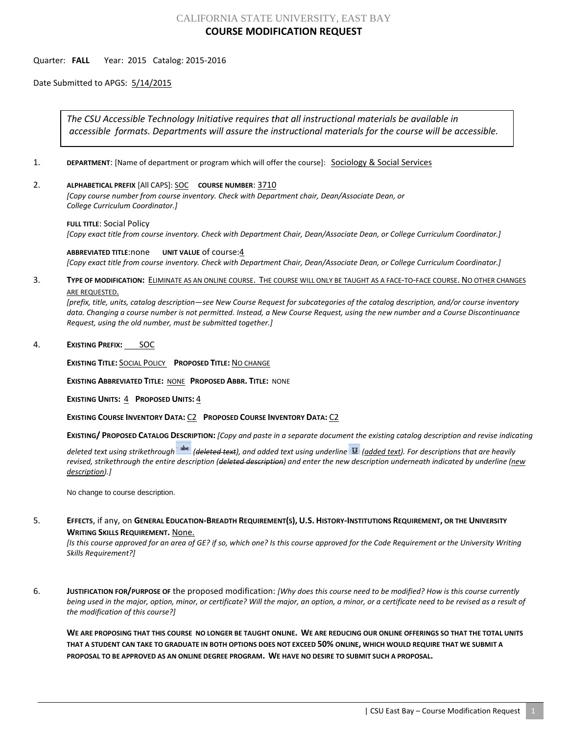## CALIFORNIA STATE UNIVERSITY, EAST BAY **COURSE MODIFICATION REQUEST**

## Quarter: **FALL** Year: 2015 Catalog: 2015-2016

Date Submitted to APGS: 5/14/2015

*The CSU Accessible Technology Initiative requires that all instructional materials be available in accessible formats. Departments will assure the instructional materials for the course will be accessible.*

- 1. **DEPARTMENT:** [Name of department or program which will offer the course]: **Sociology & Social Services**
- 2. **ALPHABETICAL PREFIX** [All CAPS]: SOC **COURSE NUMBER**: 3710

*[Copy course number from course inventory. Check with Department chair, Dean/Associate Dean, or College Curriculum Coordinator.]* 

**FULL TITLE**: Social Policy *[Copy exact title from course inventory. Check with Department Chair, Dean/Associate Dean, or College Curriculum Coordinator.]*

**ABBREVIATED TITLE**:none **UNIT VALUE** of course:4 *[Copy exact title from course inventory. Check with Department Chair, Dean/Associate Dean, or College Curriculum Coordinator.]*

3. **TYPE OF MODIFICATION:** ELIMINATE AS AN ONLINE COURSE. THE COURSE WILL ONLY BE TAUGHT AS A FACE-TO-FACE COURSE. NO OTHER CHANGES ARE REQUESTED.

*[prefix, title, units, catalog description—see New Course Request for subcategories of the catalog description, and/or course inventory data. Changing a course number is not permitted. Instead, a New Course Request, using the new number and a Course Discontinuance Request, using the old number, must be submitted together.]*

## 4. **EXISTING PREFIX:** SOC

**EXISTING TITLE:** SOCIAL POLICY **PROPOSED TITLE:** NO CHANGE

**EXISTING ABBREVIATED TITLE:** NONE **PROPOSED ABBR. TITLE:** NONE

**EXISTING UNITS:** 4 **PROPOSED UNITS:** 4

**EXISTING COURSE INVENTORY DATA:** C2 **PROPOSED COURSE INVENTORY DATA:** C2

**EXISTING/ PROPOSED CATALOG DESCRIPTION:** *[Copy and paste in a separate document the existing catalog description and revise indicating* 

*deleted text using strikethrough (deleted text), and added text using underline (added text). For descriptions that are heavily revised, strikethrough the entire description (deleted description) and enter the new description underneath indicated by underline (new description).]*

No change to course description.

5. **EFFECTS**, if any, on **GENERAL EDUCATION-BREADTH REQUIREMENT(S), U.S. HISTORY-INSTITUTIONS REQUIREMENT, OR THE UNIVERSITY WRITING SKILLS REQUIREMENT.** None.

*[Is this course approved for an area of GE? if so, which one? Is this course approved for the Code Requirement or the University Writing Skills Requirement?]*

6. **JUSTIFICATION FOR/PURPOSE OF** the proposed modification: *[Why does this course need to be modified? How is this course currently being used in the major, option, minor, or certificate? Will the major, an option, a minor, or a certificate need to be revised as a result of the modification of this course?]*

**WE ARE PROPOSING THAT THIS COURSE NO LONGER BE TAUGHT ONLINE. WE ARE REDUCING OUR ONLINE OFFERINGS SO THAT THE TOTAL UNITS THAT A STUDENT CAN TAKE TO GRADUATE IN BOTH OPTIONS DOES NOT EXCEED 50% ONLINE, WHICH WOULD REQUIRE THAT WE SUBMIT A PROPOSAL TO BE APPROVED AS AN ONLINE DEGREE PROGRAM. WE HAVE NO DESIRE TO SUBMIT SUCH A PROPOSAL.**